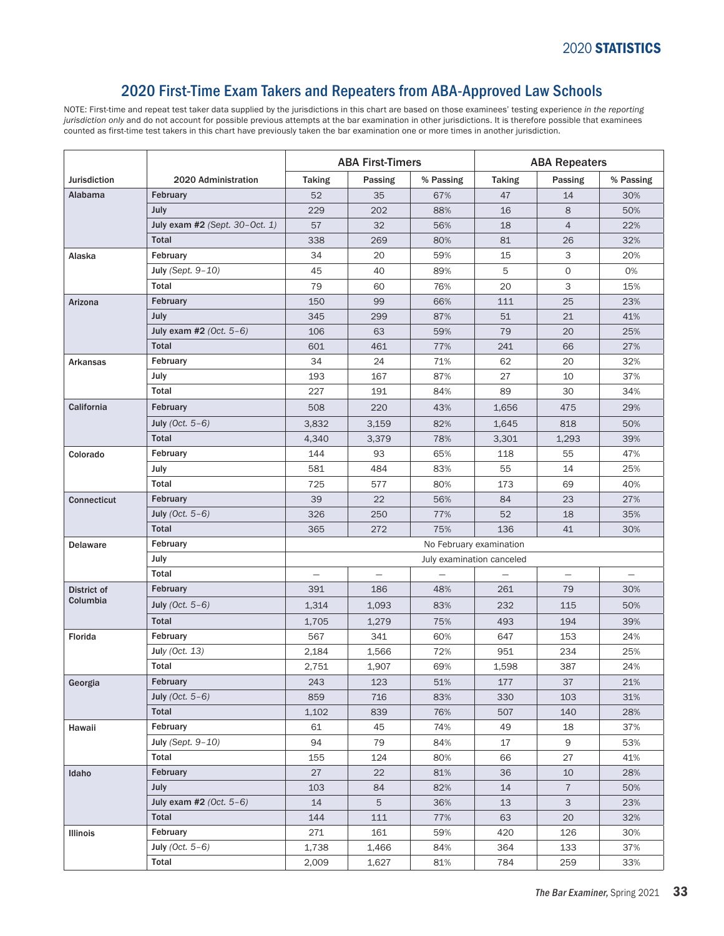## 2020 First-Time Exam Takers and Repeaters from ABA-Approved Law Schools

NOTE: First-time and repeat test taker data supplied by the jurisdictions in this chart are based on those examinees' testing experience *in the reporting jurisdiction only* and do not account for possible previous attempts at the bar examination in other jurisdictions. It is therefore possible that examinees counted as first-time test takers in this chart have previously taken the bar examination one or more times in another jurisdiction.

|                     |                                  | <b>ABA First-Timers</b>   |         |                         | <b>ABA Repeaters</b> |                |           |  |
|---------------------|----------------------------------|---------------------------|---------|-------------------------|----------------------|----------------|-----------|--|
| <b>Jurisdiction</b> | 2020 Administration              | <b>Taking</b>             | Passing | % Passing               | <b>Taking</b>        | Passing        | % Passing |  |
| Alabama             | February                         | 52                        | 35      | 67%                     | 47                   | 14             | 30%       |  |
|                     | July                             | 229                       | 202     | 88%                     | 16                   | 8              | 50%       |  |
|                     | July exam $#2$ (Sept. 30–Oct. 1) | 57                        | 32      | 56%                     | 18                   | $\overline{4}$ | 22%       |  |
|                     | <b>Total</b>                     | 338                       | 269     | 80%                     | 81                   | 26             | 32%       |  |
| Alaska              | February                         | 34                        | 20      | 59%                     | 15                   | 3              | 20%       |  |
|                     | July (Sept. $9-10$ )             | 45                        | 40      | 89%                     | 5                    | 0              | 0%        |  |
|                     | Total                            | 79                        | 60      | 76%                     | 20                   | З              | 15%       |  |
| Arizona             | February                         | 150                       | 99      | 66%                     | 111                  | 25             | 23%       |  |
|                     | July                             | 345                       | 299     | 87%                     | 51                   | 21             | 41%       |  |
|                     | July exam #2 $(Oct. 5-6)$        | 106                       | 63      | 59%                     | 79                   | 20             | 25%       |  |
|                     | <b>Total</b>                     | 601                       | 461     | 77%                     | 241                  | 66             | 27%       |  |
| Arkansas            | February                         | 34                        | 24      | 71%                     | 62                   | 20             | 32%       |  |
|                     | July                             | 193                       | 167     | 87%                     | 27                   | 10             | 37%       |  |
|                     | Total                            | 227                       | 191     | 84%                     | 89                   | 30             | 34%       |  |
| California          | February                         | 508                       | 220     | 43%                     | 1,656                | 475            | 29%       |  |
|                     | July (Oct. $5-6$ )               | 3,832                     | 3,159   | 82%                     | 1,645                | 818            | 50%       |  |
|                     | <b>Total</b>                     | 4,340                     | 3,379   | 78%                     | 3,301                | 1,293          | 39%       |  |
| Colorado            | February                         | 144                       | 93      | 65%                     | 118                  | 55             | 47%       |  |
|                     | July                             | 581                       | 484     | 83%                     | 55                   | 14             | 25%       |  |
|                     | Total                            | 725                       | 577     | 80%                     | 173                  | 69             | 40%       |  |
| <b>Connecticut</b>  | February                         | 39                        | 22      | 56%                     | 84                   | 23             | 27%       |  |
|                     | July (Oct. $5-6$ )               | 326                       | 250     | 77%                     | 52                   | 18             | 35%       |  |
|                     | <b>Total</b>                     | 365                       | 272     | 75%                     | 136                  | 41             | 30%       |  |
| <b>Delaware</b>     | February                         |                           |         | No February examination |                      |                |           |  |
|                     | July                             | July examination canceled |         |                         |                      |                |           |  |
|                     | Total                            | $\equiv$                  |         |                         |                      |                |           |  |
| District of         | February                         | 391                       | 186     | 48%                     | 261                  | 79             | 30%       |  |
| Columbia            | July (Oct. $5-6$ )               | 1,314                     | 1,093   | 83%                     | 232                  | 115            | 50%       |  |
|                     | <b>Total</b>                     | 1,705                     | 1,279   | 75%                     | 493                  | 194            | 39%       |  |
| Florida             | February                         | 567                       | 341     | 60%                     | 647                  | 153            | 24%       |  |
|                     | July $(Oct. 13)$                 | 2,184                     | 1,566   | 72%                     | 951                  | 234            | 25%       |  |
|                     | Total                            | 2,751                     | 1,907   | 69%                     | 1,598                | 387            | 24%       |  |
| Georgia             | February                         | 243                       | 123     | 51%                     | $177\,$              | 37             | 21%       |  |
|                     | July (Oct. $5-6$ )               | 859                       | 716     | 83%                     | 330                  | 103            | 31%       |  |
|                     | Total                            | 1,102                     | 839     | 76%                     | 507                  | 140            | 28%       |  |
| Hawaii              | February                         | 61                        | 45      | 74%                     | 49                   | 18             | 37%       |  |
|                     | July (Sept. $9-10$ )             | 94                        | 79      | 84%                     | 17                   | 9              | 53%       |  |
|                     | Total                            | 155                       | 124     | 80%                     | 66                   | 27             | 41%       |  |
| Idaho               | February                         | 27                        | 22      | 81%                     | 36                   | 10             | 28%       |  |
|                     | <b>July</b>                      | 103                       | 84      | 82%                     | 14                   | $\overline{7}$ | 50%       |  |
|                     | July exam #2 $(Oct. 5-6)$        | 14                        | 5       | 36%                     | 13                   | 3              | 23%       |  |
|                     | Total                            | 144                       | 111     | 77%                     | 63                   | 20             | 32%       |  |
| Illinois            | February                         | 271                       | 161     | 59%                     | 420                  | 126            | 30%       |  |
|                     | July (Oct. $5-6$ )               | 1,738                     | 1,466   | 84%                     | 364                  | 133            | 37%       |  |
|                     | Total                            | 2,009                     | 1,627   | 81%                     | 784                  | 259            | 33%       |  |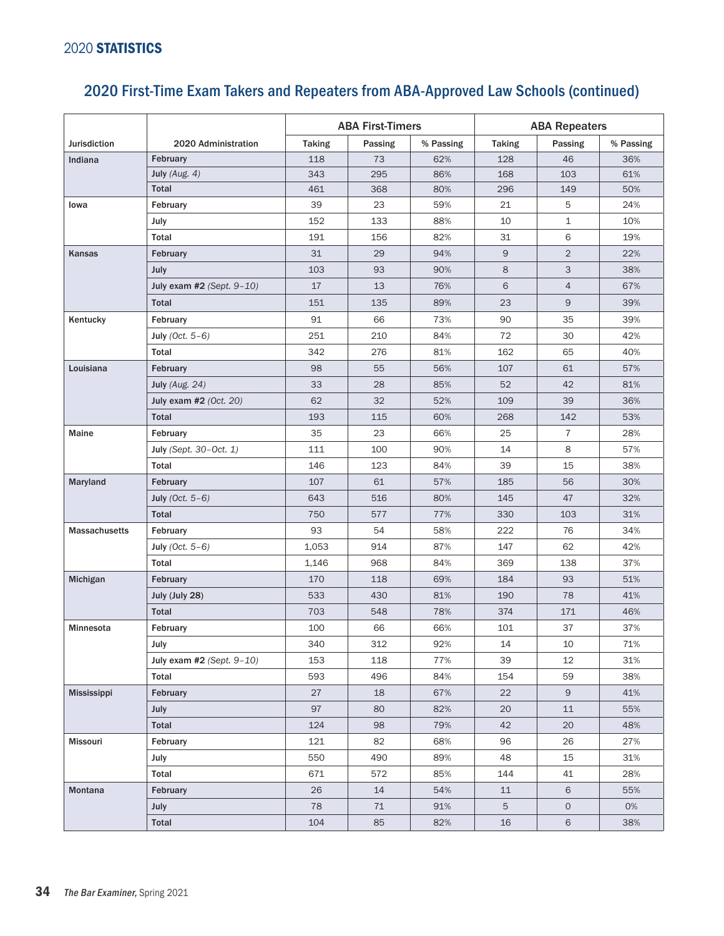## 2020 First-Time Exam Takers and Repeaters from ABA-Approved Law Schools (continued)

|                      |                                | <b>ABA First-Timers</b> |         |           | <b>ABA Repeaters</b> |                |           |  |
|----------------------|--------------------------------|-------------------------|---------|-----------|----------------------|----------------|-----------|--|
| <b>Jurisdiction</b>  | 2020 Administration            | <b>Taking</b>           | Passing | % Passing | <b>Taking</b>        | Passing        | % Passing |  |
| Indiana              | February                       | 118                     | 73      | 62%       | 128                  | 46             | 36%       |  |
|                      | July $(Aug. 4)$                | 343                     | 295     | 86%       | 168                  | 103            | 61%       |  |
|                      | Total                          | 461                     | 368     | 80%       | 296                  | 149            | 50%       |  |
| Iowa                 | February                       | 39                      | 23      | 59%       | 21                   | 5              | 24%       |  |
|                      | July                           | 152                     | 133     | 88%       | 10                   | $\mathbf{1}$   | 10%       |  |
|                      | Total                          | 191                     | 156     | 82%       | 31                   | 6              | 19%       |  |
| Kansas               | February                       | 31                      | 29      | 94%       | 9                    | $\overline{2}$ | 22%       |  |
|                      | July                           | 103                     | 93      | 90%       | 8                    | 3              | 38%       |  |
|                      | July exam #2 (Sept. $9-10$ )   | 17                      | 13      | 76%       | 6                    | $\overline{4}$ | 67%       |  |
|                      | <b>Total</b>                   | 151                     | 135     | 89%       | 23                   | 9              | 39%       |  |
| Kentucky             | February                       | 91                      | 66      | 73%       | 90                   | 35             | 39%       |  |
|                      | July (Oct. $5-6$ )             | 251                     | 210     | 84%       | 72                   | 30             | 42%       |  |
|                      | Total                          | 342                     | 276     | 81%       | 162                  | 65             | 40%       |  |
| Louisiana            | February                       | 98                      | 55      | 56%       | 107                  | 61             | 57%       |  |
|                      | July (Aug. 24)                 | 33                      | 28      | 85%       | 52                   | 42             | 81%       |  |
|                      | July exam #2 (Oct. 20)         | 62                      | 32      | 52%       | 109                  | 39             | 36%       |  |
|                      | Total                          | 193                     | 115     | 60%       | 268                  | 142            | 53%       |  |
| Maine                | February                       | 35                      | 23      | 66%       | 25                   | $\overline{7}$ | 28%       |  |
|                      | July (Sept. 30-Oct. 1)         | 111                     | 100     | 90%       | 14                   | 8              | 57%       |  |
|                      | Total                          | 146                     | 123     | 84%       | 39                   | 15             | 38%       |  |
| Maryland             | February                       | 107                     | 61      | 57%       | 185                  | 56             | 30%       |  |
|                      | July (Oct. $5-6$ )             | 643                     | 516     | 80%       | 145                  | 47             | 32%       |  |
|                      | <b>Total</b>                   | 750                     | 577     | 77%       | 330                  | 103            | 31%       |  |
| <b>Massachusetts</b> | February                       | 93                      | 54      | 58%       | 222                  | 76             | 34%       |  |
|                      | July (Oct. $5-6$ )             | 1,053                   | 914     | 87%       | 147                  | 62             | 42%       |  |
|                      | Total                          | 1,146                   | 968     | 84%       | 369                  | 138            | 37%       |  |
| Michigan             | February                       | 170                     | 118     | 69%       | 184                  | 93             | 51%       |  |
|                      | July (July 28)                 | 533                     | 430     | 81%       | 190                  | 78             | 41%       |  |
|                      | <b>Total</b>                   | 703                     | 548     | 78%       | 374                  | 171            | 46%       |  |
| Minnesota            | February                       | 100                     | 66      | 66%       | 101                  | 37             | 37%       |  |
|                      | July                           | 340                     | 312     | 92%       | 14                   | 10             | 71%       |  |
|                      | July exam $#2$ (Sept. $9-10$ ) | 153                     | 118     | 77%       | 39                   | 12             | 31%       |  |
|                      | Total                          | 593                     | 496     | 84%       | 154                  | 59             | 38%       |  |
| <b>Mississippi</b>   | February                       | 27                      | 18      | 67%       | 22                   | 9              | 41%       |  |
|                      | <b>July</b>                    | 97                      | 80      | 82%       | 20                   | 11             | 55%       |  |
|                      | Total                          | 124                     | 98      | 79%       | 42                   | 20             | 48%       |  |
| Missouri             | February                       | 121                     | 82      | 68%       | 96                   | 26             | 27%       |  |
|                      | July                           | 550                     | 490     | 89%       | 48                   | 15             | 31%       |  |
|                      | Total                          | 671                     | 572     | 85%       | 144                  | 41             | 28%       |  |
| Montana              | February                       | 26                      | 14      | 54%       | 11                   | 6              | 55%       |  |
|                      | <b>July</b>                    | 78                      | 71      | 91%       | 5                    | $\circ$        | 0%        |  |
|                      | Total                          | 104                     | 85      | 82%       | 16                   | 6              | 38%       |  |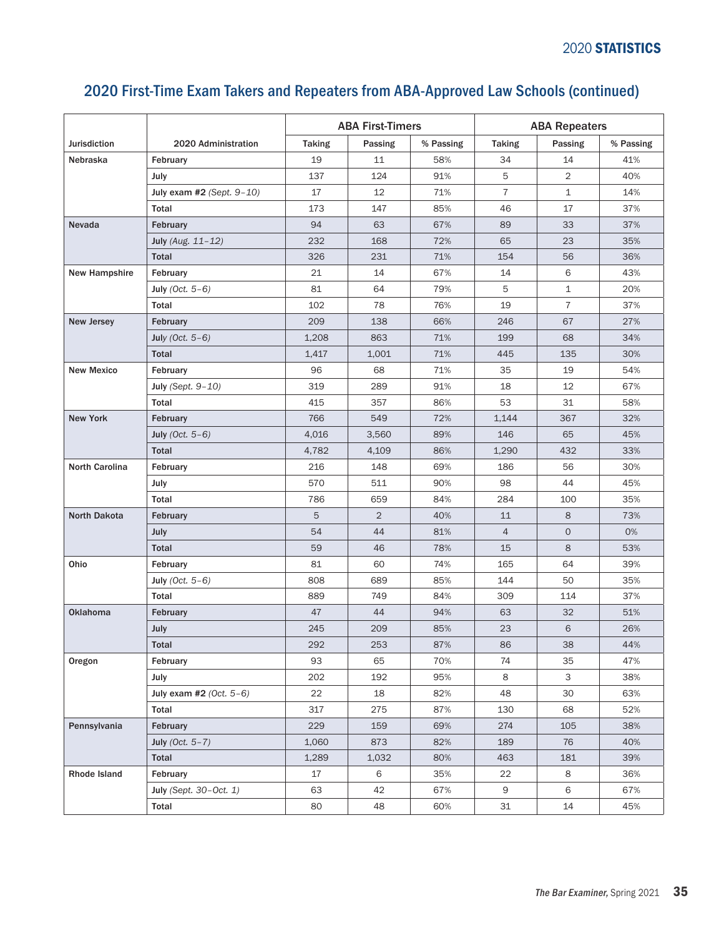|                     |                                | <b>ABA First-Timers</b> |                |           | <b>ABA Repeaters</b> |                |           |  |
|---------------------|--------------------------------|-------------------------|----------------|-----------|----------------------|----------------|-----------|--|
| <b>Jurisdiction</b> | 2020 Administration            | <b>Taking</b>           | Passing        | % Passing | <b>Taking</b>        | Passing        | % Passing |  |
| <b>Nebraska</b>     | February                       | 19                      | 11             | 58%       | 34                   | 14             | 41%       |  |
|                     | July                           | 137                     | 124            | 91%       | 5                    | $\overline{2}$ | 40%       |  |
|                     | July exam $#2$ (Sept. $9-10$ ) | 17                      | 12             | 71%       | $\overline{7}$       | $\mathbf{1}$   | 14%       |  |
|                     | Total                          | 173                     | 147            | 85%       | 46                   | 17             | 37%       |  |
| Nevada              | February                       | 94                      | 63             | 67%       | 89                   | 33             | 37%       |  |
|                     | July (Aug. 11-12)              | 232                     | 168            | 72%       | 65                   | 23             | 35%       |  |
|                     | Total                          | 326                     | 231            | 71%       | 154                  | 56             | 36%       |  |
| New Hampshire       | February                       | 21                      | 14             | 67%       | 14                   | 6              | 43%       |  |
|                     | July (Oct. $5-6$ )             | 81                      | 64             | 79%       | 5                    | $\mathbf{1}$   | 20%       |  |
|                     | Total                          | 102                     | 78             | 76%       | 19                   | $\overline{7}$ | 37%       |  |
| New Jersey          | February                       | 209                     | 138            | 66%       | 246                  | 67             | 27%       |  |
|                     | July (Oct. $5-6$ )             | 1,208                   | 863            | 71%       | 199                  | 68             | 34%       |  |
|                     | <b>Total</b>                   | 1,417                   | 1,001          | 71%       | 445                  | 135            | 30%       |  |
| <b>New Mexico</b>   | February                       | 96                      | 68             | 71%       | 35                   | 19             | 54%       |  |
|                     | July (Sept. $9-10$ )           | 319                     | 289            | 91%       | 18                   | 12             | 67%       |  |
|                     | Total                          | 415                     | 357            | 86%       | 53                   | 31             | 58%       |  |
| <b>New York</b>     | February                       | 766                     | 549            | 72%       | 1,144                | 367            | 32%       |  |
|                     | July (Oct. $5-6$ )             | 4,016                   | 3,560          | 89%       | 146                  | 65             | 45%       |  |
|                     | <b>Total</b>                   | 4,782                   | 4,109          | 86%       | 1,290                | 432            | 33%       |  |
| North Carolina      | February                       | 216                     | 148            | 69%       | 186                  | 56             | 30%       |  |
|                     | July                           | 570                     | 511            | 90%       | 98                   | 44             | 45%       |  |
|                     | Total                          | 786                     | 659            | 84%       | 284                  | 100            | 35%       |  |
| North Dakota        | February                       | 5                       | $\overline{2}$ | 40%       | 11                   | 8              | 73%       |  |
|                     | July                           | 54                      | 44             | 81%       | $\overline{4}$       | $\circ$        | 0%        |  |
|                     | <b>Total</b>                   | 59                      | 46             | 78%       | 15                   | 8              | 53%       |  |
| Ohio                | February                       | 81                      | 60             | 74%       | 165                  | 64             | 39%       |  |
|                     | July (Oct. $5-6$ )             | 808                     | 689            | 85%       | 144                  | 50             | 35%       |  |
|                     | Total                          | 889                     | 749            | 84%       | 309                  | 114            | 37%       |  |
| <b>Oklahoma</b>     | February                       | 47                      | 44             | 94%       | 63                   | 32             | 51%       |  |
|                     | July                           | 245                     | 209            | 85%       | 23                   | 6              | 26%       |  |
|                     | Total                          | 292                     | 253            | 87%       | 86                   | 38             | 44%       |  |
| Oregon              | February                       | 93                      | 65             | 70%       | 74                   | 35             | 47%       |  |
|                     | July                           | 202                     | 192            | 95%       | 8                    | 3              | 38%       |  |
|                     | July exam #2 $(Oct. 5-6)$      | 22                      | 18             | 82%       | 48                   | 30             | 63%       |  |
|                     | Total                          | 317                     | 275            | 87%       | 130                  | 68             | 52%       |  |
| Pennsylvania        | February                       | 229                     | 159            | 69%       | 274                  | 105            | 38%       |  |
|                     | July (Oct. $5-7$ )             | 1,060                   | 873            | 82%       | 189                  | 76             | 40%       |  |
|                     | Total                          | 1,289                   | 1,032          | 80%       | 463                  | 181            | 39%       |  |
| Rhode Island        | February                       | 17                      | 6              | 35%       | 22                   | 8              | 36%       |  |
|                     | July (Sept. 30-Oct. 1)         | 63                      | 42             | 67%       | 9                    | 6              | 67%       |  |
|                     | Total                          | 80                      | 48             | 60%       | 31                   | 14             | 45%       |  |

## 2020 First-Time Exam Takers and Repeaters from ABA-Approved Law Schools (continued)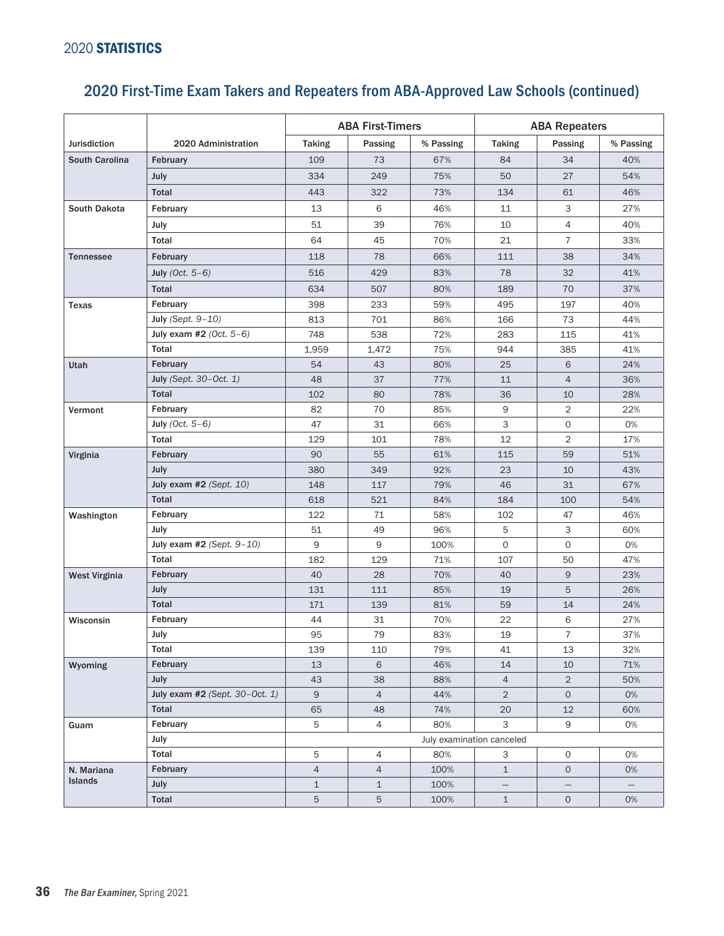|                       |                                  | <b>ABA First-Timers</b>        |                     |             | <b>ABA Repeaters</b> |                |           |  |
|-----------------------|----------------------------------|--------------------------------|---------------------|-------------|----------------------|----------------|-----------|--|
| <b>Jurisdiction</b>   | 2020 Administration              | <b>Taking</b>                  | Passing             | % Passing   | <b>Taking</b>        | Passing        | % Passing |  |
| <b>South Carolina</b> | February                         | 109                            | 73                  | 67%         | 84                   | 34             | 40%       |  |
|                       | July                             | 334                            | 249                 | 75%         | 50                   | 27             | 54%       |  |
|                       | <b>Total</b>                     | 443                            | 322                 | 73%         | 134                  | 61             | 46%       |  |
| South Dakota          | February                         | 13                             | 6                   | 46%         | 11                   | 3              | 27%       |  |
|                       | July                             | 51                             | 39                  | 76%         | 10                   | 4              | 40%       |  |
|                       | <b>Total</b>                     | 64                             | 45                  | 70%         | 21                   | $\overline{7}$ | 33%       |  |
| <b>Tennessee</b>      | February                         | 118                            | 78                  | 66%         | 111                  | 38             | 34%       |  |
|                       | July (Oct. $5-6$ )               | 516                            | 429                 | 83%         | 78                   | 32             | 41%       |  |
|                       | Total                            | 634                            | 507                 | 80%         | 189                  | 70             | 37%       |  |
| Texas                 | February                         | 398                            | 233                 | 59%         | 495                  | 197            | 40%       |  |
|                       | July (Sept. 9-10)                | 813                            | 701                 | 86%         | 166                  | 73             | 44%       |  |
|                       | July exam #2 $(Oct. 5-6)$        | 748                            | 538                 | 72%         | 283                  | 115            | 41%       |  |
|                       | Total                            | 1,959                          | 1,472               | 75%         | 944                  | 385            | 41%       |  |
| Utah                  | February                         | 54                             | 43                  | 80%         | 25                   | 6              | 24%       |  |
|                       | July (Sept. 30-Oct. 1)           | 48                             | 37                  | 77%         | 11                   | $\overline{4}$ | 36%       |  |
|                       | <b>Total</b>                     | 102                            | 80                  | 78%         | 36                   | 10             | 28%       |  |
| Vermont               | February                         | 82                             | 70                  | 85%         | 9                    | $\overline{2}$ | 22%       |  |
|                       | July (Oct. $5-6$ )               | 47                             | 31                  | 66%         | 3                    | $\circ$        | 0%        |  |
|                       | Total                            | 129                            | 101                 | 78%         | 12                   | 2              | 17%       |  |
| Virginia              | February                         | 90                             | 55                  | 61%         | 115                  | 59             | 51%       |  |
|                       | <b>July</b>                      | 380                            | 349                 | 92%         | 23                   | 10             | 43%       |  |
|                       | July exam $#2$ (Sept. 10)        | 148                            | 117                 | 79%         | 46                   | 31             | 67%       |  |
|                       | Total                            | 618                            | 521                 | 84%         | 184                  | 100            | 54%       |  |
| Washington            | February                         | 122                            | 71                  | 58%         | 102                  | 47             | 46%       |  |
|                       | July                             | 51                             | 49                  | 96%         | 5                    | 3              | 60%       |  |
|                       | July exam $#2$ (Sept. $9-10$ )   | 9                              | 9                   | 100%        | 0                    | 0              | 0%        |  |
|                       | Total                            | 182                            | 129                 | 71%         | 107                  | 50             | 47%       |  |
| West Virginia         | February                         | 40                             | 28                  | 70%         | 40                   | 9              | 23%       |  |
|                       | July                             | 131                            | 111                 | 85%         | 19                   | 5              | 26%       |  |
|                       | <b>Total</b>                     | 171                            | 139                 | 81%         | 59                   | 14             | 24%       |  |
| Wisconsin             | February                         | 44                             | 31                  | 70%         | 22                   | 6              | 27%       |  |
|                       | July                             | 95                             | 79                  | 83%         | 19                   | $\overline{7}$ | 37%       |  |
|                       | Total                            | 139                            | 110                 | 79%         | 41                   | 13             | 32%       |  |
| Wyoming               | February                         | 13                             | 6                   | 46%         | 14                   | 10             | 71%       |  |
|                       | July                             | 43                             | 38                  | 88%         | $\overline{4}$       | $\overline{2}$ | 50%       |  |
|                       | July exam $#2$ (Sept. 30-Oct. 1) | 9                              | $\overline{4}$      | 44%         | $\overline{2}$       | $\circ$        | 0%        |  |
|                       | Total                            | 65                             | 48                  | 74%         | 20                   | 12             | 60%       |  |
| Guam                  | February                         | 5<br>3<br>9<br>4<br>80%<br>0%  |                     |             |                      |                |           |  |
|                       | July<br>Total                    | July examination canceled<br>5 |                     |             |                      |                |           |  |
|                       | February                         | $\overline{4}$                 | 4<br>$\overline{4}$ | 80%<br>100% | 3<br>$\mathbf{1}$    | 0<br>$\circ$   | 0%<br>0%  |  |
| N. Mariana<br>Islands | July                             | $\mathbf{1}$                   | $\mathbf{1}$        | 100%        |                      |                |           |  |
|                       | Total                            | 5                              | 5                   | 100%        | $\mathbf 1$          | $\circ$        | 0%        |  |
|                       |                                  |                                |                     |             |                      |                |           |  |